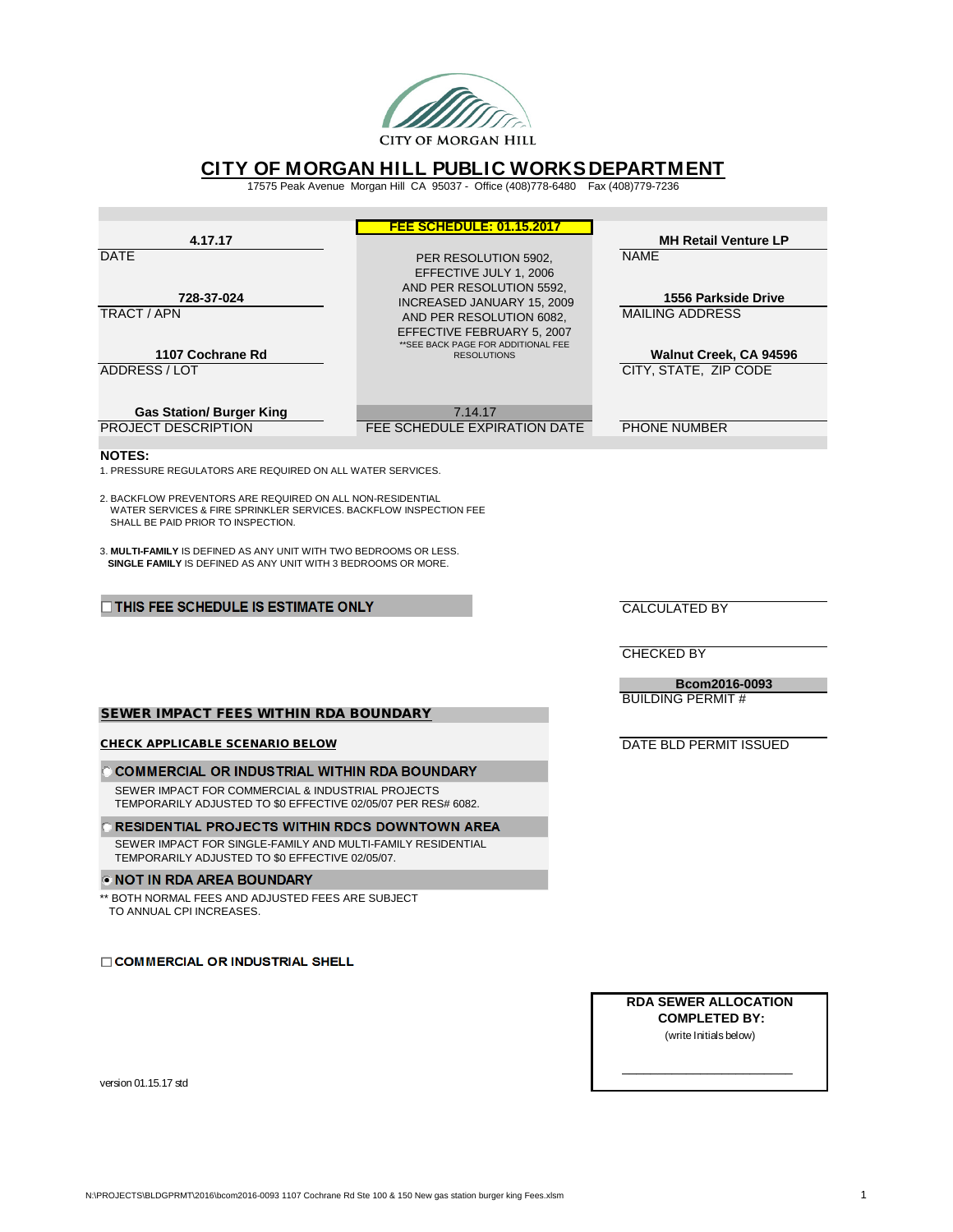

# **CITY OF MORGAN HILL PUBLIC WORKS DEPARTMENT** 17575 Peak Avenue Morgan Hill CA 95037 - Office (408)778-6480 Fax (408)779-7236

| 4.17.17                                                                                                                                                               | <b>FEE SCHEDULE: 01.15.2017</b>                           | <b>MH Retail Venture LP</b>                   |  |  |  |  |  |  |
|-----------------------------------------------------------------------------------------------------------------------------------------------------------------------|-----------------------------------------------------------|-----------------------------------------------|--|--|--|--|--|--|
| <b>DATE</b>                                                                                                                                                           | PER RESOLUTION 5902,                                      | <b>NAME</b>                                   |  |  |  |  |  |  |
|                                                                                                                                                                       | EFFECTIVE JULY 1, 2006<br>AND PER RESOLUTION 5592,        |                                               |  |  |  |  |  |  |
| 728-37-024<br>TRACT / APN                                                                                                                                             | INCREASED JANUARY 15, 2009<br>AND PER RESOLUTION 6082,    | 1556 Parkside Drive<br><b>MAILING ADDRESS</b> |  |  |  |  |  |  |
|                                                                                                                                                                       | EFFECTIVE FEBRUARY 5, 2007                                |                                               |  |  |  |  |  |  |
| 1107 Cochrane Rd                                                                                                                                                      | ** SEE BACK PAGE FOR ADDITIONAL FEE<br><b>RESOLUTIONS</b> | Walnut Creek, CA 94596                        |  |  |  |  |  |  |
| <b>ADDRESS/LOT</b>                                                                                                                                                    |                                                           | CITY, STATE, ZIP CODE                         |  |  |  |  |  |  |
| <b>Gas Station/ Burger King</b>                                                                                                                                       | 7.14.17                                                   |                                               |  |  |  |  |  |  |
| <b>PROJECT DESCRIPTION</b>                                                                                                                                            | FEE SCHEDULE EXPIRATION DATE                              | <b>PHONE NUMBER</b>                           |  |  |  |  |  |  |
| <b>NOTES:</b><br>1. PRESSURE REGULATORS ARE REQUIRED ON ALL WATER SERVICES.                                                                                           |                                                           |                                               |  |  |  |  |  |  |
| 2. BACKFLOW PREVENTORS ARE REQUIRED ON ALL NON-RESIDENTIAL<br>WATER SERVICES & FIRE SPRINKLER SERVICES. BACKFLOW INSPECTION FEE<br>SHALL BE PAID PRIOR TO INSPECTION. |                                                           |                                               |  |  |  |  |  |  |
| 3. MULTI-FAMILY IS DEFINED AS ANY UNIT WITH TWO BEDROOMS OR LESS.<br><b>SINGLE FAMILY IS DEFINED AS ANY UNIT WITH 3 BEDROOMS OR MORE.</b>                             |                                                           |                                               |  |  |  |  |  |  |
| THIS FEE SCHEDULE IS ESTIMATE ONLY                                                                                                                                    |                                                           | <b>CALCULATED BY</b>                          |  |  |  |  |  |  |
|                                                                                                                                                                       |                                                           | <b>CHECKED BY</b>                             |  |  |  |  |  |  |
|                                                                                                                                                                       |                                                           |                                               |  |  |  |  |  |  |
|                                                                                                                                                                       |                                                           | Bcom2016-0093<br><b>BUILDING PERMIT#</b>      |  |  |  |  |  |  |
| <b>SEWER IMPACT FEES WITHIN RDA BOUNDARY</b>                                                                                                                          |                                                           |                                               |  |  |  |  |  |  |
| <b>CHECK APPLICABLE SCENARIO BELOW</b>                                                                                                                                |                                                           | DATE BLD PERMIT ISSUED                        |  |  |  |  |  |  |
| <b>COMMERCIAL OR INDUSTRIAL WITHIN RDA BOUNDARY</b>                                                                                                                   |                                                           |                                               |  |  |  |  |  |  |
| SEWER IMPACT FOR COMMERCIAL & INDUSTRIAL PROJECTS<br>TEMPORARILY ADJUSTED TO \$0 EFFECTIVE 02/05/07 PER RES# 6082.                                                    |                                                           |                                               |  |  |  |  |  |  |
| <b>RESIDENTIAL PROJECTS WITHIN RDCS DOWNTOWN AREA</b>                                                                                                                 |                                                           |                                               |  |  |  |  |  |  |
| SEWER IMPACT FOR SINGLE-FAMILY AND MULTI-FAMILY RESIDENTIAL<br>TEMPORARILY ADJUSTED TO \$0 EFFECTIVE 02/05/07.                                                        |                                                           |                                               |  |  |  |  |  |  |
| <b>• NOT IN RDA AREA BOUNDARY</b>                                                                                                                                     |                                                           |                                               |  |  |  |  |  |  |
| ** BOTH NORMAL FEES AND ADJUSTED FEES ARE SUBJECT<br>TO ANNUAL CPI INCREASES.                                                                                         |                                                           |                                               |  |  |  |  |  |  |

**COMMERCIAL OR INDUSTRIAL SHELL** 

**RDA SEWER ALLOCATION COMPLETED BY:** (write Initials below)

\_\_\_\_\_\_\_\_\_\_\_\_\_\_\_\_\_\_\_\_\_\_\_\_

version 01.15.17 std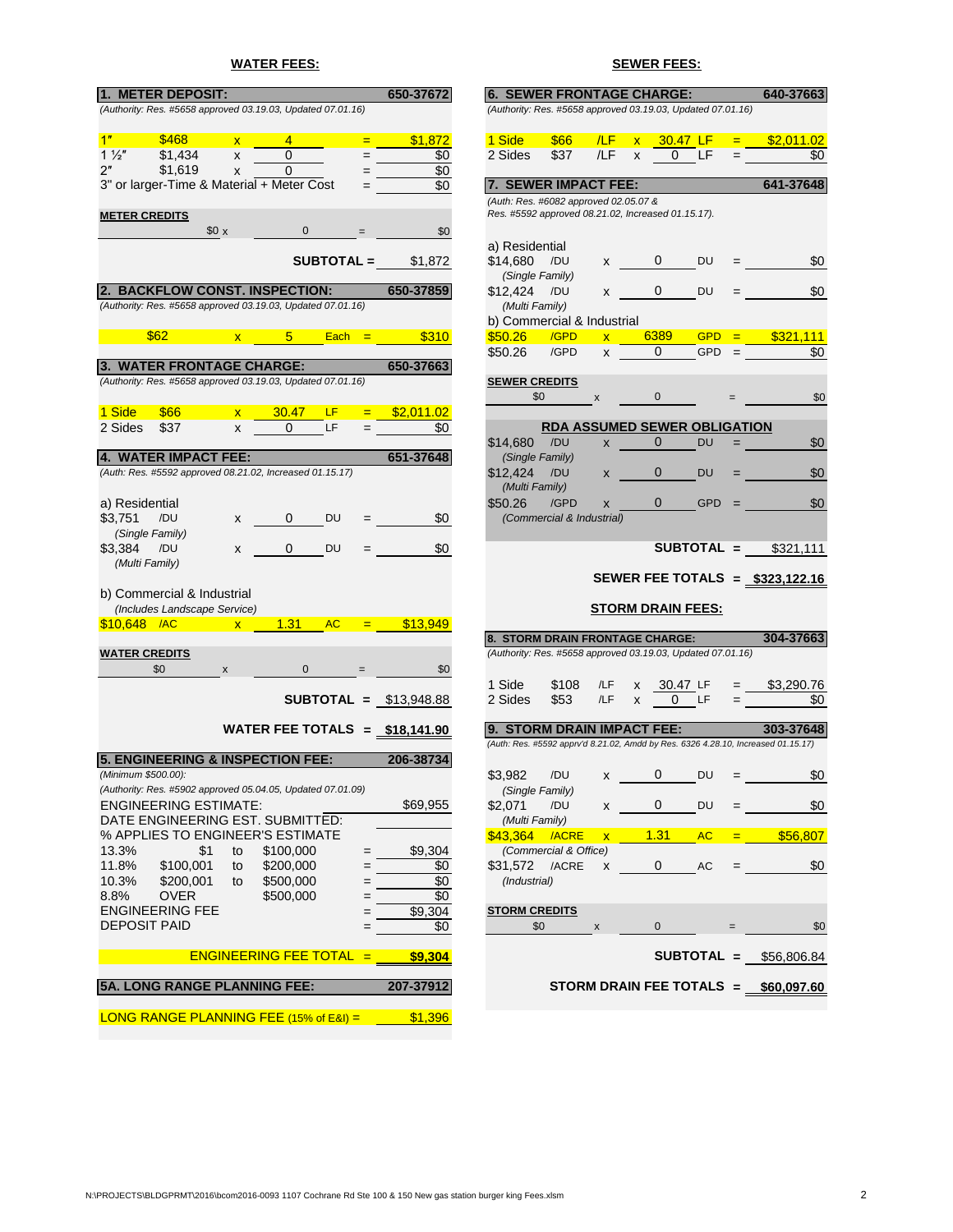# **WATER FEES: SEWER FEES:**

| 1. METER DEPOSIT:                                                                |              |                                                 |                   |     | 650-37672                       | <b>6. SEWER FRONTAGE CHARGE:</b>                                                            |                                     |                         |                         |                          |            |         | 640-37663                                                                         |
|----------------------------------------------------------------------------------|--------------|-------------------------------------------------|-------------------|-----|---------------------------------|---------------------------------------------------------------------------------------------|-------------------------------------|-------------------------|-------------------------|--------------------------|------------|---------|-----------------------------------------------------------------------------------|
| (Authority: Res. #5658 approved 03.19.03, Updated 07.01.16)                      |              |                                                 |                   |     |                                 | (Authority: Res. #5658 approved 03.19.03, Updated 07.01.16)                                 |                                     |                         |                         |                          |            |         |                                                                                   |
|                                                                                  |              |                                                 |                   |     |                                 |                                                                                             |                                     |                         |                         |                          |            |         |                                                                                   |
| \$468<br>1"                                                                      | $\mathsf{x}$ | $\overline{4}$                                  |                   | $=$ | \$1,872                         | 1 Side                                                                                      | <b>\$66</b>                         | /LF                     | $\overline{\mathsf{x}}$ | 30.47 LF                 |            | $=$     | \$2,011.02                                                                        |
| \$1,434<br>$1\frac{1}{2}$                                                        | X            | $\Omega$                                        |                   |     | \$0                             | 2 Sides                                                                                     | \$37                                | /LF                     | X                       | $\Omega$                 | <b>LF</b>  |         | \$0                                                                               |
| \$1,619<br>2"                                                                    | X            | 0                                               |                   |     | \$0                             |                                                                                             |                                     |                         |                         |                          |            |         |                                                                                   |
| 3" or larger-Time & Material + Meter Cost                                        |              |                                                 |                   |     | \$0                             | 7. SEWER IMPACT FEE:                                                                        |                                     |                         |                         |                          |            |         | 641-37648                                                                         |
| <b>METER CREDITS</b>                                                             |              |                                                 |                   |     |                                 | (Auth: Res. #6082 approved 02.05.07 &<br>Res. #5592 approved 08.21.02, Increased 01.15.17). |                                     |                         |                         |                          |            |         |                                                                                   |
|                                                                                  | \$0 x        | $\mathbf 0$                                     |                   |     | \$0                             |                                                                                             |                                     |                         |                         |                          |            |         |                                                                                   |
|                                                                                  |              |                                                 |                   |     |                                 | a) Residential                                                                              |                                     |                         |                         |                          |            |         |                                                                                   |
|                                                                                  |              |                                                 | <b>SUBTOTAL =</b> |     | \$1,872                         | \$14,680                                                                                    | /DU                                 | X                       |                         | 0                        | DU         |         | \$0                                                                               |
|                                                                                  |              |                                                 |                   |     |                                 |                                                                                             | (Single Family)                     |                         |                         |                          |            |         |                                                                                   |
| 2. BACKFLOW CONST. INSPECTION:                                                   |              |                                                 |                   |     | 650-37859                       | \$12.424                                                                                    | /DU                                 | X                       |                         | 0                        | DU         |         | \$0                                                                               |
| (Authority: Res. #5658 approved 03.19.03, Updated 07.01.16)                      |              |                                                 |                   |     |                                 | (Multi Family)                                                                              |                                     |                         |                         |                          |            |         |                                                                                   |
|                                                                                  |              |                                                 |                   |     |                                 | b) Commercial & Industrial                                                                  |                                     |                         |                         |                          |            |         |                                                                                   |
| \$62                                                                             |              | $5 -$<br>$\mathbf{x}$ . The set of $\mathbf{x}$ | $Each =$          |     | \$310                           | \$50.26                                                                                     | /GPD                                | $\overline{\mathsf{x}}$ |                         | 6389                     | <b>GPD</b> |         | \$321,111                                                                         |
|                                                                                  |              |                                                 |                   |     |                                 | \$50.26                                                                                     | /GPD                                | X                       |                         | 0                        | <b>GPD</b> |         | \$0                                                                               |
| 3. WATER FRONTAGE CHARGE:                                                        |              |                                                 |                   |     | 650-37663                       |                                                                                             |                                     |                         |                         |                          |            |         |                                                                                   |
| (Authority: Res. #5658 approved 03.19.03, Updated 07.01.16)                      |              |                                                 |                   |     |                                 | <b>SEWER CREDITS</b>                                                                        |                                     |                         |                         |                          |            |         |                                                                                   |
|                                                                                  |              |                                                 |                   |     |                                 |                                                                                             | \$0                                 | X                       |                         | $\Omega$                 |            |         | \$0                                                                               |
| 1 Side<br>\$66                                                                   | $\mathbf{x}$ | 30.47                                           | <b>LF</b>         |     | \$2,011.02                      |                                                                                             |                                     |                         |                         |                          |            |         |                                                                                   |
| 2 Sides<br>\$37                                                                  | X            | 0                                               | LF                |     | \$0                             |                                                                                             | <b>RDA ASSUMED SEWER OBLIGATION</b> |                         |                         |                          |            |         |                                                                                   |
|                                                                                  |              |                                                 |                   |     |                                 | \$14,680                                                                                    | /DU                                 | X                       |                         | $\Omega$                 | <b>DU</b>  |         | \$0                                                                               |
| 4. WATER IMPACT FEE:<br>(Auth: Res. #5592 approved 08.21.02, Increased 01.15.17) |              |                                                 |                   |     | 651-37648                       |                                                                                             | (Single Family)                     |                         |                         |                          |            |         |                                                                                   |
|                                                                                  |              |                                                 |                   |     |                                 | \$12,424                                                                                    | /DU                                 | X                       |                         | 0                        | DU         |         | \$0                                                                               |
|                                                                                  |              |                                                 |                   |     |                                 | (Multi Family)<br>\$50.26                                                                   | /GPD                                |                         |                         | $\overline{0}$           | <b>GPD</b> |         | \$0                                                                               |
| a) Residential<br>\$3,751<br>/DU                                                 |              | 0                                               | DU                |     | \$0                             |                                                                                             | (Commercial & Industrial)           | X                       |                         |                          |            |         |                                                                                   |
| (Single Family)                                                                  | X            |                                                 |                   |     |                                 |                                                                                             |                                     |                         |                         |                          |            |         |                                                                                   |
| \$3,384<br>/DU                                                                   | X            | 0                                               | DU                |     | \$0                             |                                                                                             |                                     |                         |                         | $SUBTOTAL =$             |            |         | \$321,111                                                                         |
| (Multi Family)                                                                   |              |                                                 |                   |     |                                 |                                                                                             |                                     |                         |                         |                          |            |         |                                                                                   |
|                                                                                  |              |                                                 |                   |     |                                 |                                                                                             |                                     |                         |                         |                          |            |         | SEWER FEE TOTALS = \$323,122.16                                                   |
| b) Commercial & Industrial                                                       |              |                                                 |                   |     |                                 |                                                                                             |                                     |                         |                         |                          |            |         |                                                                                   |
| (Includes Landscape Service)                                                     |              |                                                 |                   |     |                                 |                                                                                             |                                     |                         |                         | <b>STORM DRAIN FEES:</b> |            |         |                                                                                   |
| $$10,648$ /AC                                                                    | $\mathbf{x}$ | 1.31                                            | <b>AC</b>         | $=$ | \$13.949                        |                                                                                             |                                     |                         |                         |                          |            |         |                                                                                   |
|                                                                                  |              |                                                 |                   |     |                                 | 8. STORM DRAIN FRONTAGE CHARGE:                                                             |                                     |                         |                         |                          |            |         | 304-37663                                                                         |
| <b>WATER CREDITS</b>                                                             |              |                                                 |                   |     |                                 | (Authority: Res. #5658 approved 03.19.03, Updated 07.01.16)                                 |                                     |                         |                         |                          |            |         |                                                                                   |
| \$0                                                                              | X            | 0                                               |                   |     | \$0                             |                                                                                             |                                     |                         |                         |                          |            |         |                                                                                   |
|                                                                                  |              |                                                 |                   |     |                                 | 1 Side                                                                                      | \$108                               | /LF                     | x                       | 30.47 LF                 |            |         | \$3,290.76                                                                        |
|                                                                                  |              |                                                 |                   |     | <b>SUBTOTAL</b> = $$13,948.88$  | 2 Sides                                                                                     | \$53                                | /LF                     | x                       | 0                        | LF         |         | \$0                                                                               |
|                                                                                  |              |                                                 |                   |     |                                 |                                                                                             |                                     |                         |                         |                          |            |         |                                                                                   |
|                                                                                  |              |                                                 |                   |     | WATER FEE TOTALS = $$18,141.90$ | 9. STORM DRAIN IMPACT FEE:                                                                  |                                     |                         |                         |                          |            |         | 303-37648                                                                         |
|                                                                                  |              |                                                 |                   |     |                                 |                                                                                             |                                     |                         |                         |                          |            |         | (Auth: Res. #5592 apprv'd 8.21.02, Amdd by Res. 6326 4.28.10, Increased 01.15.17) |
| <b>5. ENGINEERING &amp; INSPECTION FEE:</b><br>(Minimum \$500.00):               |              |                                                 |                   |     | 206-38734                       |                                                                                             | /DU                                 |                         |                         | 0                        |            |         |                                                                                   |
| (Authority: Res. #5902 approved 05.04.05, Updated 07.01.09)                      |              |                                                 |                   |     |                                 | \$3,982                                                                                     |                                     | х                       |                         |                          | DU         |         | \$0                                                                               |
| <b>ENGINEERING ESTIMATE:</b>                                                     |              |                                                 |                   |     | \$69,955                        | \$2,071                                                                                     | (Single Family)<br>/DU              | x                       |                         | 0                        | DU         |         | \$0                                                                               |
| DATE ENGINEERING EST. SUBMITTED:                                                 |              |                                                 |                   |     |                                 | (Multi Family)                                                                              |                                     |                         |                         |                          |            |         |                                                                                   |
| % APPLIES TO ENGINEER'S ESTIMATE                                                 |              |                                                 |                   |     |                                 | \$43,364 /ACRE                                                                              |                                     | $\overline{\mathsf{x}}$ |                         | 1.31                     | <b>AC</b>  | $=$ $-$ | \$56,807                                                                          |
| 13.3%<br>\$1                                                                     | to           | \$100,000                                       |                   |     | \$9,304                         |                                                                                             | (Commercial & Office)               |                         |                         |                          |            |         |                                                                                   |
| 11.8%<br>\$100,001                                                               | to           | \$200,000                                       |                   |     | \$0                             | \$31,572                                                                                    | /ACRE                               | X                       |                         | 0                        | AC         |         | \$0                                                                               |
| 10.3%<br>\$200,001                                                               | to           | \$500,000                                       |                   |     | \$0                             | (Industrial)                                                                                |                                     |                         |                         |                          |            |         |                                                                                   |
| 8.8%<br><b>OVER</b>                                                              |              | \$500,000                                       |                   |     | \$0                             |                                                                                             |                                     |                         |                         |                          |            |         |                                                                                   |
| <b>ENGINEERING FEE</b>                                                           |              |                                                 |                   |     | $\overline{$9,304}$             | <b>STORM CREDITS</b>                                                                        |                                     |                         |                         |                          |            |         |                                                                                   |
| <b>DEPOSIT PAID</b>                                                              |              |                                                 |                   |     | \$0                             |                                                                                             | \$0                                 | X                       |                         | $\mathbf 0$              |            |         | \$0                                                                               |
|                                                                                  |              |                                                 |                   |     |                                 |                                                                                             |                                     |                         |                         |                          |            |         |                                                                                   |
|                                                                                  |              | ENGINEERING FEE TOTAL $=$                       |                   |     | \$9,304                         |                                                                                             |                                     |                         |                         |                          |            |         | <b>SUBTOTAL = <math>\$56,806.84</math></b>                                        |
|                                                                                  |              |                                                 |                   |     |                                 |                                                                                             |                                     |                         |                         |                          |            |         |                                                                                   |
| <b>5A. LONG RANGE PLANNING FEE:</b>                                              |              |                                                 |                   |     | 207-37912                       |                                                                                             |                                     |                         |                         |                          |            |         | STORM DRAIN FEE TOTALS = \$60,097.60                                              |
| <b>LONG RANGE PLANNING FEE (15% of E&amp;I) =</b>                                |              |                                                 |                   |     | \$1,396                         |                                                                                             |                                     |                         |                         |                          |            |         |                                                                                   |

|       |                                |             | 650-37672                                  | <b>6. SEWER FRONTAGE CHARGE:</b>      |                           |                         |                                                    |                                                             |     | 640-37663                                                                         |
|-------|--------------------------------|-------------|--------------------------------------------|---------------------------------------|---------------------------|-------------------------|----------------------------------------------------|-------------------------------------------------------------|-----|-----------------------------------------------------------------------------------|
|       | d 03.19.03, Updated 07.01.16)  |             |                                            |                                       |                           |                         |                                                    | (Authority: Res. #5658 approved 03.19.03, Updated 07.01.16) |     |                                                                                   |
|       |                                |             |                                            |                                       |                           |                         |                                                    |                                                             |     |                                                                                   |
| x     | 4                              | $=$         | \$1,872                                    | 1 Side                                | \$66                      | /LF                     | $\overline{\mathsf{x}}$                            | 30.47 LF                                                    | $=$ | \$2,011.02                                                                        |
| x     | 0                              |             | \$0                                        | 2 Sides                               | \$37                      | /LF                     | X                                                  | 0<br>LF                                                     |     | \$0                                                                               |
|       | 0                              |             |                                            |                                       |                           |                         |                                                    |                                                             |     |                                                                                   |
| x     | erial + Meter Cost             |             | \$0                                        | 7. SEWER IMPACT FEE:                  |                           |                         |                                                    |                                                             |     | 641-37648                                                                         |
|       |                                |             | \$0                                        |                                       |                           |                         |                                                    |                                                             |     |                                                                                   |
|       |                                |             |                                            | (Auth: Res. #6082 approved 02.05.07 & |                           |                         | Res. #5592 approved 08.21.02, Increased 01.15.17). |                                                             |     |                                                                                   |
|       | 0                              |             |                                            |                                       |                           |                         |                                                    |                                                             |     |                                                                                   |
|       |                                |             | \$0                                        |                                       |                           |                         |                                                    |                                                             |     |                                                                                   |
|       | SUBTOTAL =                     |             |                                            | a) Residential                        |                           |                         | 0                                                  |                                                             |     |                                                                                   |
|       |                                |             | \$1,872                                    | \$14,680                              | /DU<br>(Single Family)    | x                       |                                                    | DU                                                          |     | \$0                                                                               |
|       | <b>T. INSPECTION:</b>          |             | 650-37859                                  | \$12,424                              | /DU                       |                         | 0                                                  | DU                                                          |     | \$0                                                                               |
|       | d 03.19.03, Updated 07.01.16)  |             |                                            | (Multi Family)                        |                           | x                       |                                                    |                                                             |     |                                                                                   |
|       |                                |             |                                            | b) Commercial & Industrial            |                           |                         |                                                    |                                                             |     |                                                                                   |
|       | $5 -$                          | <b>Each</b> | \$310                                      | \$50.26                               | /GPD                      | $\overline{\mathbf{x}}$ | 6389                                               | <b>GPD</b>                                                  |     | \$321.111                                                                         |
|       |                                | $=$         |                                            | \$50.26                               | /GPD                      | X                       | 0                                                  | GPD                                                         |     | \$0                                                                               |
|       | E CHARGE:                      |             | 650-37663                                  |                                       |                           |                         |                                                    |                                                             |     |                                                                                   |
|       | d 03.19.03, Updated 07.01.16)  |             |                                            | <b>SEWER CREDITS</b>                  |                           |                         |                                                    |                                                             |     |                                                                                   |
|       |                                |             |                                            |                                       | \$0                       |                         | 0                                                  |                                                             |     | \$0                                                                               |
|       | 30.47<br>LF                    |             |                                            |                                       |                           | X                       |                                                    |                                                             |     |                                                                                   |
| x     | LF                             |             | \$2,011.02                                 |                                       |                           |                         |                                                    | <b>RDA ASSUMED SEWER OBLIGATION</b>                         |     |                                                                                   |
| X     | 0                              |             | \$0                                        | \$14.680                              | /DU                       |                         | 0                                                  |                                                             |     |                                                                                   |
| E.    |                                |             | 651-37648                                  |                                       | (Single Family)           | X                       |                                                    | DU                                                          |     | \$0                                                                               |
|       | .21.02, Increased 01.15.17)    |             |                                            |                                       | /DU                       |                         |                                                    |                                                             |     | \$0                                                                               |
|       |                                |             |                                            | \$12,424<br>(Multi Family)            |                           | x                       | 0                                                  | DU                                                          |     |                                                                                   |
|       |                                |             |                                            | \$50.26                               | /GPD                      |                         | 0                                                  | <b>GPD</b>                                                  |     | \$0                                                                               |
|       | 0<br>DU                        |             | \$0                                        |                                       | (Commercial & Industrial) | X                       |                                                    |                                                             |     |                                                                                   |
| x     |                                |             |                                            |                                       |                           |                         |                                                    |                                                             |     |                                                                                   |
|       | DU<br>0                        |             | \$0                                        |                                       |                           |                         |                                                    | SUBTOTAL =                                                  |     | \$321,111                                                                         |
| x     |                                |             |                                            |                                       |                           |                         |                                                    |                                                             |     |                                                                                   |
|       |                                |             |                                            |                                       |                           |                         |                                                    |                                                             |     | SEWER FEE TOTALS = $$323,122.16$                                                  |
| rial  |                                |             |                                            |                                       |                           |                         |                                                    |                                                             |     |                                                                                   |
| vice) |                                |             |                                            |                                       |                           |                         | <b>STORM DRAIN FEES:</b>                           |                                                             |     |                                                                                   |
| x     | 1.31<br><b>AC</b>              | $=$         | \$13,949                                   |                                       |                           |                         |                                                    |                                                             |     |                                                                                   |
|       |                                |             |                                            | 8. STORM DRAIN FRONTAGE CHARGE:       |                           |                         |                                                    |                                                             |     | 304-37663                                                                         |
|       |                                |             |                                            |                                       |                           |                         |                                                    | (Authority: Res. #5658 approved 03.19.03, Updated 07.01.16) |     |                                                                                   |
|       | $\mathbf 0$                    |             | \$0                                        |                                       |                           |                         |                                                    |                                                             |     |                                                                                   |
|       |                                |             |                                            | 1 Side                                | \$108                     | /LF                     | x                                                  | 30.47 LF                                                    |     | \$3,290.76                                                                        |
|       |                                |             | <b>SUBTOTAL = <math>\$13.948.88</math></b> | 2 Sides                               | \$53                      | /LF                     | X                                                  | LF<br>0                                                     |     | \$0                                                                               |
|       |                                |             |                                            |                                       |                           |                         |                                                    |                                                             |     |                                                                                   |
|       | ATER FEE TOTALS = $$18,141.90$ |             |                                            | 9. STORM DRAIN IMPACT FEE:            |                           |                         |                                                    |                                                             |     | 303-37648                                                                         |
|       |                                |             |                                            |                                       |                           |                         |                                                    |                                                             |     | (Auth: Res. #5592 apprv'd 8.21.02, Amdd by Res. 6326 4.28.10, Increased 01.15.17) |
|       | <b>SPECTION FEE:</b>           |             | 206-38734                                  |                                       |                           |                         |                                                    |                                                             |     |                                                                                   |
|       |                                |             |                                            | \$3,982                               |                           | /DU x                   | $\Omega$                                           | DU                                                          |     | $\frac{$0}{}$                                                                     |
|       | d 05.04.05, Updated 07.01.09)  |             |                                            |                                       | (Single Family)           |                         |                                                    |                                                             |     |                                                                                   |
| ATE:  |                                |             | \$69,955                                   | \$2,071                               | /DU                       | X                       | 0                                                  | DU                                                          |     | \$0                                                                               |
|       | EST. SUBMITTED:                |             |                                            | (Multi Family)                        |                           |                         |                                                    |                                                             |     |                                                                                   |
|       | <b>EER'S ESTIMATE</b>          |             |                                            | \$43,364 /ACRE                        |                           |                         | $x = 1.31$                                         | <b>AC</b>                                                   |     | $=$ \$56,807                                                                      |
| O.    | \$100,000                      |             | \$9,304                                    |                                       | (Commercial & Office)     |                         |                                                    |                                                             |     |                                                                                   |
| O.    | \$200,000                      |             | \$0                                        | \$31.572 /ACRE                        |                           | X                       | 0                                                  | AC                                                          |     | \$0                                                                               |
| .O    | \$500,000                      |             | \$0                                        | (Industrial)                          |                           |                         |                                                    |                                                             |     |                                                                                   |
|       | \$500,000                      | =           | \$0                                        |                                       |                           |                         |                                                    |                                                             |     |                                                                                   |
|       |                                |             | \$9,304                                    | <b>STORM CREDITS</b>                  |                           |                         |                                                    |                                                             |     |                                                                                   |
|       |                                |             | \$0                                        |                                       | \$0                       | $\mathbf{x}$            | $\overline{0}$                                     |                                                             |     | \$0                                                                               |
|       |                                |             |                                            |                                       |                           |                         |                                                    |                                                             |     |                                                                                   |
|       | $EERING FEE TOTAL =$ \$9,304   |             |                                            |                                       |                           |                         |                                                    |                                                             |     | <b>SUBTOTAL = <math>\$56,806.84</math></b>                                        |
|       |                                |             |                                            |                                       |                           |                         |                                                    |                                                             |     |                                                                                   |
|       | <b>ANNING FEE:</b>             |             | 207-37912                                  |                                       |                           |                         |                                                    |                                                             |     | STORM DRAIN FEE TOTALS = $$60,097.60$                                             |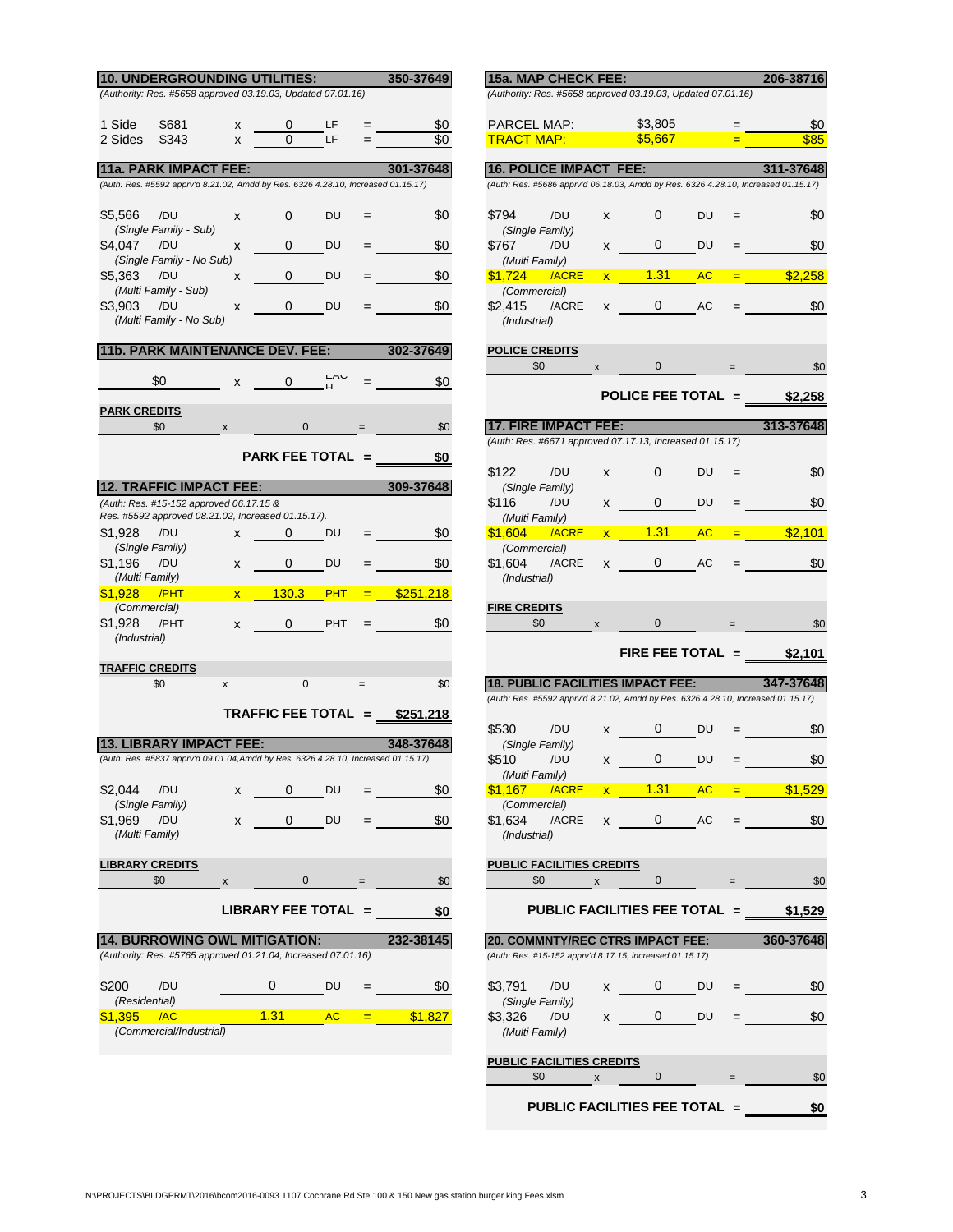| 10. UNDERGROUNDING UTILITIES:                                                      |                                        |                       |            | 350-37649                       | 15a. MAP CHECK FEE:                                                                                                           |              |                                                                                                                                                                                                                                                                                                                       |           |                   | 206-38716 |
|------------------------------------------------------------------------------------|----------------------------------------|-----------------------|------------|---------------------------------|-------------------------------------------------------------------------------------------------------------------------------|--------------|-----------------------------------------------------------------------------------------------------------------------------------------------------------------------------------------------------------------------------------------------------------------------------------------------------------------------|-----------|-------------------|-----------|
| (Authority: Res. #5658 approved 03.19.03, Updated 07.01.16)                        |                                        |                       |            |                                 | (Authority: Res. #5658 approved 03.19.03, Updated 07.01.16)                                                                   |              |                                                                                                                                                                                                                                                                                                                       |           |                   |           |
|                                                                                    |                                        |                       |            |                                 |                                                                                                                               |              |                                                                                                                                                                                                                                                                                                                       |           |                   |           |
| 1 Side<br>\$681                                                                    | X                                      | 0                     | LF         | 80                              | PARCEL MAP:                                                                                                                   |              | \$3,805                                                                                                                                                                                                                                                                                                               |           | $=$               | \$0       |
| 2 Sides<br>\$343                                                                   | $\mathsf{x}$                           | $\Omega$              | LF         | \$0                             | <u>TRACT MAP: </u>                                                                                                            |              | \$5,667                                                                                                                                                                                                                                                                                                               |           | $=$               | \$85      |
| <b>11a. PARK IMPACT FEE:</b>                                                       |                                        |                       |            | 301-37648                       | <b>16. POLICE IMPACT FEE:</b>                                                                                                 |              |                                                                                                                                                                                                                                                                                                                       |           |                   | 311-37648 |
| (Auth: Res. #5592 apprv'd 8.21.02, Amdd by Res. 6326 4.28.10, Increased 01.15.17)  |                                        |                       |            |                                 | (Auth: Res. #5686 apprv'd 06.18.03, Amdd by Res. 6326 4.28.10, Increased 01.15.17)                                            |              |                                                                                                                                                                                                                                                                                                                       |           |                   |           |
|                                                                                    |                                        |                       |            |                                 |                                                                                                                               |              |                                                                                                                                                                                                                                                                                                                       |           |                   |           |
| \$5,566<br>/DU                                                                     | X                                      | 0                     | DU         | \$0                             | \$794<br>/DU                                                                                                                  | $x -$        | 0                                                                                                                                                                                                                                                                                                                     | <b>DU</b> |                   | \$0       |
| (Single Family - Sub)<br>\$4,047<br>/DU                                            | x                                      | 0                     | DU         | \$0                             | (Single Family)<br>\$767<br>/DU                                                                                               | X            | $0 \qquad$                                                                                                                                                                                                                                                                                                            | <b>DU</b> |                   | \$0       |
| (Single Family - No Sub)                                                           |                                        |                       |            |                                 | (Multi Family)                                                                                                                |              |                                                                                                                                                                                                                                                                                                                       |           |                   |           |
| \$5.363<br>/DU                                                                     | X                                      | 0                     | DU         | \$0                             | \$1,724<br>/ACRE                                                                                                              | $\mathbf{x}$ | 1.31                                                                                                                                                                                                                                                                                                                  | <b>AC</b> | $=$               | \$2,258   |
| (Multi Family - Sub)                                                               |                                        |                       |            |                                 | (Commercial)                                                                                                                  |              |                                                                                                                                                                                                                                                                                                                       |           |                   |           |
| \$3,903<br>/DU<br>(Multi Family - No Sub)                                          | X                                      | 0                     | DU         | \$0                             | \$2,415<br>/ACRE<br>(Industrial)                                                                                              | X            | $\mathbf{0}$                                                                                                                                                                                                                                                                                                          | AC        |                   | \$0       |
|                                                                                    |                                        |                       |            |                                 |                                                                                                                               |              |                                                                                                                                                                                                                                                                                                                       |           |                   |           |
| <b>11b. PARK MAINTENANCE DEV. FEE:</b>                                             |                                        |                       |            | 302-37649                       | <b>POLICE CREDITS</b>                                                                                                         |              |                                                                                                                                                                                                                                                                                                                       |           |                   |           |
|                                                                                    |                                        |                       |            |                                 | \$0                                                                                                                           | X            | $\mathbf 0$                                                                                                                                                                                                                                                                                                           |           |                   | \$0       |
| \$0                                                                                | X                                      | 0                     |            | \$0                             |                                                                                                                               |              | POLICE FEE TOTAL = $$2,258$                                                                                                                                                                                                                                                                                           |           |                   |           |
| <b>PARK CREDITS</b>                                                                |                                        |                       |            |                                 |                                                                                                                               |              |                                                                                                                                                                                                                                                                                                                       |           |                   |           |
| \$0                                                                                | X                                      | 0                     |            | \$0                             | <b>17. FIRE IMPACT FEE:</b>                                                                                                   |              |                                                                                                                                                                                                                                                                                                                       |           |                   | 313-37648 |
|                                                                                    |                                        |                       |            |                                 | (Auth: Res. #6671 approved 07.17.13, Increased 01.15.17)                                                                      |              |                                                                                                                                                                                                                                                                                                                       |           |                   |           |
|                                                                                    |                                        | PARK FEE TOTAL =      |            | \$0                             | \$122<br>/DU                                                                                                                  | X =          | $\mathbf{0}$                                                                                                                                                                                                                                                                                                          | DU        |                   | \$0       |
| <b>12. TRAFFIC IMPACT FEE:</b>                                                     |                                        |                       |            | 309-37648                       | (Single Family)                                                                                                               |              |                                                                                                                                                                                                                                                                                                                       |           |                   |           |
| (Auth: Res. #15-152 approved 06.17.15 &                                            |                                        |                       |            |                                 | \$116<br>/DU                                                                                                                  | X —          | $\mathbf{0}$                                                                                                                                                                                                                                                                                                          | <b>DU</b> |                   | \$0       |
| Res. #5592 approved 08.21.02, Increased 01.15.17).                                 |                                        |                       |            |                                 | (Multi Family)                                                                                                                |              |                                                                                                                                                                                                                                                                                                                       |           |                   |           |
| \$1,928<br>/DU<br>(Single Family)                                                  | x                                      | $\mathbf{0}$          | DU         | \$0<br>$=$                      | \$1,604<br>/ACRE                                                                                                              |              | 1.31<br>$\mathbf{x}$ . The set of $\mathbf{x}$                                                                                                                                                                                                                                                                        | <b>AC</b> | <b>Experience</b> | \$2,101   |
| \$1,196<br>/DU                                                                     | X                                      | 0                     | DU         | \$0                             | (Commercial)<br>\$1.604<br>/ACRE                                                                                              | X            | $0 \qquad \qquad$                                                                                                                                                                                                                                                                                                     | AC        |                   | \$0       |
| (Multi Family)                                                                     |                                        |                       |            |                                 | (Industrial)                                                                                                                  |              |                                                                                                                                                                                                                                                                                                                       |           |                   |           |
| \$1.928<br>/PHT                                                                    | $\mathbf{x}$ . The set of $\mathbf{x}$ | 130.3                 | <b>PHT</b> | \$251,218<br>$=$ $-$            |                                                                                                                               |              |                                                                                                                                                                                                                                                                                                                       |           |                   |           |
| (Commercial)                                                                       |                                        |                       |            |                                 | <b>FIRE CREDITS</b>                                                                                                           |              |                                                                                                                                                                                                                                                                                                                       |           |                   |           |
| \$1,928<br>/PHT<br>(Industrial)                                                    | X                                      | $\mathbf{0}$          | <b>PHT</b> | \$0<br>$=$                      | \$0                                                                                                                           | X            | $\mathbf{0}$                                                                                                                                                                                                                                                                                                          |           | $=$ $-$           | \$C       |
|                                                                                    |                                        |                       |            |                                 |                                                                                                                               |              | FIRE FEE TOTAL $=$                                                                                                                                                                                                                                                                                                    |           |                   | \$2,101   |
| <b>TRAFFIC CREDITS</b>                                                             |                                        |                       |            |                                 |                                                                                                                               |              |                                                                                                                                                                                                                                                                                                                       |           |                   |           |
| \$0                                                                                | X                                      | $\mathbf{0}$          |            | \$0                             | <b>18. PUBLIC FACILITIES IMPACT FEE:</b><br>(Auth: Res. #5592 apprv'd 8.21.02, Amdd by Res. 6326 4.28.10, Increased 01.15.17) |              |                                                                                                                                                                                                                                                                                                                       |           |                   | 347-37648 |
|                                                                                    |                                        |                       |            | TRAFFIC FEE TOTAL $=$ \$251,218 |                                                                                                                               |              |                                                                                                                                                                                                                                                                                                                       |           |                   |           |
|                                                                                    |                                        |                       |            |                                 | \$530<br>/DU                                                                                                                  | X            | 0                                                                                                                                                                                                                                                                                                                     | DU        |                   | \$0       |
| <b>13. LIBRARY IMPACT FEE:</b>                                                     |                                        |                       |            | 348-37648                       | (Single Family)                                                                                                               |              |                                                                                                                                                                                                                                                                                                                       |           |                   |           |
| (Auth: Res. #5837 apprv'd 09.01.04, Amdd by Res. 6326 4.28.10, Increased 01.15.17) |                                        |                       |            |                                 | \$510<br>/DU                                                                                                                  | $\mathsf{X}$ | 0                                                                                                                                                                                                                                                                                                                     | <b>DU</b> |                   | \$0       |
| \$2,044 /DU                                                                        | $\mathsf{x}$                           | $\mathbf{0}$          | DU         | \$0                             | (Multi Family)<br>\$1,167 / ACRE                                                                                              |              | $x = 1.31$                                                                                                                                                                                                                                                                                                            | <b>AC</b> |                   | \$1,529   |
| (Single Family)                                                                    |                                        |                       |            |                                 | (Commercial)                                                                                                                  |              |                                                                                                                                                                                                                                                                                                                       |           |                   |           |
| \$1,969 /DU                                                                        | X                                      | $\mathbf{0}$          | DU         | \$0                             | \$1,634<br>/ACRE                                                                                                              | $\mathsf{X}$ | $\mathbf{0}$                                                                                                                                                                                                                                                                                                          | AC        |                   | \$0       |
| (Multi Family)                                                                     |                                        |                       |            |                                 | (Industrial)                                                                                                                  |              |                                                                                                                                                                                                                                                                                                                       |           |                   |           |
| <b>LIBRARY CREDITS</b>                                                             |                                        |                       |            |                                 | <b>PUBLIC FACILITIES CREDITS</b>                                                                                              |              |                                                                                                                                                                                                                                                                                                                       |           |                   |           |
| \$0                                                                                | $\boldsymbol{\mathsf{x}}$              | $\overline{0}$        |            | \$0                             | \$0                                                                                                                           | X            | $\overline{0}$                                                                                                                                                                                                                                                                                                        |           | $=$               | \$0       |
|                                                                                    |                                        |                       |            |                                 |                                                                                                                               |              |                                                                                                                                                                                                                                                                                                                       |           |                   |           |
|                                                                                    |                                        | $LIBRARY FEE TOTAL =$ |            | \$0                             |                                                                                                                               |              | PUBLIC FACILITIES FEE TOTAL = \$1,529                                                                                                                                                                                                                                                                                 |           |                   |           |
| <b>14. BURROWING OWL MITIGATION:</b>                                               |                                        |                       |            | 232-38145                       | <b>20. COMMNTY/REC CTRS IMPACT FEE:</b>                                                                                       |              |                                                                                                                                                                                                                                                                                                                       |           |                   | 360-37648 |
| (Authority: Res. #5765 approved 01.21.04, Increased 07.01.16)                      |                                        |                       |            |                                 | (Auth: Res. #15-152 apprv'd 8.17.15, increased 01.15.17)                                                                      |              |                                                                                                                                                                                                                                                                                                                       |           |                   |           |
|                                                                                    |                                        |                       |            |                                 |                                                                                                                               |              |                                                                                                                                                                                                                                                                                                                       |           |                   |           |
| \$200<br>/DU                                                                       |                                        | 0                     | DU         | \$0                             | \$3,791<br>/DU                                                                                                                |              | $0 \qquad \qquad$<br>$x \sim$                                                                                                                                                                                                                                                                                         | DU        | $=$ $\qquad$      | \$0       |
| (Residential)<br>\$1,395<br>/AC                                                    |                                        | $1.31 \qquad AC$      |            | \$1,827<br><b>Experience</b>    | (Single Family)<br>\$3,326<br>/DU                                                                                             |              | $0 \qquad \qquad$<br>$\mathsf{X}$ and $\mathsf{X}$ and $\mathsf{X}$ and $\mathsf{X}$ are $\mathsf{X}$ and $\mathsf{X}$ and $\mathsf{X}$ are $\mathsf{X}$ and $\mathsf{X}$ are $\mathsf{X}$ and $\mathsf{X}$ are $\mathsf{X}$ and $\mathsf{X}$ are $\mathsf{X}$ and $\mathsf{X}$ are $\mathsf{X}$ and $\mathsf{X}$ are | DU        |                   | \$0       |
| (Commercial/Industrial)                                                            |                                        |                       |            |                                 | (Multi Family)                                                                                                                |              |                                                                                                                                                                                                                                                                                                                       |           |                   |           |
|                                                                                    |                                        |                       |            |                                 |                                                                                                                               |              |                                                                                                                                                                                                                                                                                                                       |           |                   |           |

|         | <b>DING UTILITIES:</b> The contract of the contract of the contract of the contract of the contract of the contract o | 350-37649                             | 15a. MAP CHECK FEE:                                                                                 |                                                                                                                                                                                                                                                                                                  |                           |                         | 206-38716                                   |
|---------|-----------------------------------------------------------------------------------------------------------------------|---------------------------------------|-----------------------------------------------------------------------------------------------------|--------------------------------------------------------------------------------------------------------------------------------------------------------------------------------------------------------------------------------------------------------------------------------------------------|---------------------------|-------------------------|---------------------------------------------|
|         | ved 03.19.03, Updated 07.01.16)                                                                                       |                                       | (Authority: Res. #5658 approved 03.19.03, Updated 07.01.16)                                         |                                                                                                                                                                                                                                                                                                  |                           |                         |                                             |
|         |                                                                                                                       |                                       | PARCEL MAP:                                                                                         |                                                                                                                                                                                                                                                                                                  | \$3,805                   |                         |                                             |
| x<br>x  | LF -<br>$\overline{0}$<br>LF.                                                                                         | \$0                                   | <mark>TRACT MAP:</mark> The second second in                                                        |                                                                                                                                                                                                                                                                                                  | \$5,667                   |                         | \$0<br>$\equiv$ 100 $\pm$ 100 $\pm$<br>\$85 |
|         |                                                                                                                       |                                       |                                                                                                     |                                                                                                                                                                                                                                                                                                  |                           |                         |                                             |
| FEE:    |                                                                                                                       | 301-37648                             | <b>16. POLICE IMPACT FEE:</b>                                                                       |                                                                                                                                                                                                                                                                                                  |                           |                         | 311-37648                                   |
|         | 02, Amdd by Res. 6326 4.28.10, Increased 01.15.17)                                                                    |                                       | (Auth: Res. #5686 apprv'd 06.18.03, Amdd by Res. 6326 4.28.10, Increased 01.15.17)                  |                                                                                                                                                                                                                                                                                                  |                           |                         |                                             |
|         | x 0 DU                                                                                                                | $=$ \$0                               | \$794<br>/DU                                                                                        |                                                                                                                                                                                                                                                                                                  | $x \t 0 \t Du$            |                         | \$0<br>$=$ $\frac{1}{2}$ and $\frac{1}{2}$  |
|         |                                                                                                                       |                                       | (Single Family)                                                                                     |                                                                                                                                                                                                                                                                                                  |                           |                         |                                             |
| ıb)     | $0$ DU<br>$X \sim$                                                                                                    | \$0<br>≡ in the s                     | \$767<br>/DU<br>(Multi Family)                                                                      |                                                                                                                                                                                                                                                                                                  | $x = 0$ DU                |                         | \$0<br>$\equiv$ 100 $\pm$ 100 $\pm$         |
| X       | <b>O</b> DU                                                                                                           | $=$ \$0                               | \$1,724 /ACRE                                                                                       |                                                                                                                                                                                                                                                                                                  | $x$ 1.31 AC               |                         | $=$ \$2,258                                 |
|         |                                                                                                                       |                                       | (Commercial)                                                                                        |                                                                                                                                                                                                                                                                                                  |                           |                         |                                             |
| X       | <b>O</b> DU                                                                                                           | - \$0<br>$\equiv$ 100 $\pm$ 100 $\pm$ | \$2,415 /ACRE x 0 AC                                                                                |                                                                                                                                                                                                                                                                                                  |                           |                         | \$0<br>$\equiv$ 100 $\pm$ 100 $\pm$         |
|         |                                                                                                                       |                                       | (Industrial)                                                                                        |                                                                                                                                                                                                                                                                                                  |                           |                         |                                             |
|         | <b>NANCE DEV. FEE:</b> 302-37649                                                                                      |                                       | <b>POLICE CREDITS</b>                                                                               |                                                                                                                                                                                                                                                                                                  |                           |                         |                                             |
|         | <b>CAU</b>                                                                                                            |                                       | \$0                                                                                                 |                                                                                                                                                                                                                                                                                                  | $\mathbf x = \mathbf 0$   | $=$                     | \$0                                         |
| X       | $\overline{0}$                                                                                                        | \$0                                   |                                                                                                     |                                                                                                                                                                                                                                                                                                  |                           |                         | POLICE FEE TOTAL $=$ \$2,258                |
|         |                                                                                                                       |                                       |                                                                                                     |                                                                                                                                                                                                                                                                                                  |                           |                         |                                             |
| X       | $0 =$                                                                                                                 | \$0                                   | <b>17. FIRE IMPACT FEE:</b>                                                                         |                                                                                                                                                                                                                                                                                                  |                           |                         | $313-37648$                                 |
|         | PARK FEE TOTAL $=$                                                                                                    |                                       | (Auth: Res. #6671 approved 07.17.13, Increased 01.15.17)                                            |                                                                                                                                                                                                                                                                                                  |                           |                         |                                             |
|         |                                                                                                                       |                                       | \$122<br>/DU                                                                                        |                                                                                                                                                                                                                                                                                                  | $x = 0$ DU                |                         | \$0<br><b>Experience</b>                    |
| T FEE:  |                                                                                                                       | $309-37648$                           | (Single Family)                                                                                     |                                                                                                                                                                                                                                                                                                  |                           |                         |                                             |
|         | ed 06.17.15 &<br>02, Increased 01.15.17).                                                                             |                                       | \$116<br>/DU<br>(Multi Family)                                                                      |                                                                                                                                                                                                                                                                                                  | x 0 DU                    |                         | \$0                                         |
|         | x 0 DU                                                                                                                | $=$ \$0                               | <b>\$1,604</b><br>/ACRE                                                                             |                                                                                                                                                                                                                                                                                                  | $x$ 1.31 AC               |                         | $=$ \$2,101                                 |
|         |                                                                                                                       |                                       | (Commercial)                                                                                        |                                                                                                                                                                                                                                                                                                  |                           |                         |                                             |
|         | x 0 DU                                                                                                                | \$0                                   | \$1,604                                                                                             |                                                                                                                                                                                                                                                                                                  | $/ACRE$ x 0 AC =          |                         | \$0                                         |
|         | x 130.3 PHT                                                                                                           | $=$ \$251,218                         | (Industrial)                                                                                        |                                                                                                                                                                                                                                                                                                  |                           |                         |                                             |
|         |                                                                                                                       |                                       | <b>FIRE CREDITS</b>                                                                                 |                                                                                                                                                                                                                                                                                                  |                           |                         |                                             |
|         | x 0 PHT                                                                                                               | \$0<br><b>Experience</b>              | \$0                                                                                                 |                                                                                                                                                                                                                                                                                                  | $\mathbf x = \mathbf 0$   | $=$                     | \$0                                         |
|         |                                                                                                                       |                                       |                                                                                                     |                                                                                                                                                                                                                                                                                                  |                           |                         | FIRE FEE TOTAL = $$2,101$                   |
|         |                                                                                                                       |                                       |                                                                                                     |                                                                                                                                                                                                                                                                                                  |                           |                         |                                             |
| x       | $0 =$                                                                                                                 | \$0                                   | <b>18. PUBLIC FACILITIES IMPACT FEE:</b>                                                            |                                                                                                                                                                                                                                                                                                  |                           |                         | 347-37648                                   |
|         | TRAFFIC FEE TOTAL = $$251,218$                                                                                        |                                       | (Auth: Res. #5592 apprv'd 8.21.02, Amdd by Res. 6326 4.28.10, Increased 01.15.17)                   |                                                                                                                                                                                                                                                                                                  |                           |                         |                                             |
|         |                                                                                                                       |                                       | \$530<br>/DU                                                                                        | $x \qquad 0$                                                                                                                                                                                                                                                                                     | DU                        |                         | \$0                                         |
| :T FEE: |                                                                                                                       | 348-37648                             | (Single Family)                                                                                     |                                                                                                                                                                                                                                                                                                  |                           |                         |                                             |
|         | 1.04, Amdd by Res. 6326 4.28.10, Increased 01.15.17)                                                                  |                                       | \$510<br>/DU<br>(Multi Family)                                                                      | $x \qquad 0$                                                                                                                                                                                                                                                                                     | DU                        | $=$ 100 $\pm$ 100 $\pm$ | \$0                                         |
| x       | 0<br>DU                                                                                                               | \$0                                   | /ACRE<br><b>\$1,167</b>                                                                             | x                                                                                                                                                                                                                                                                                                | <u> 1.31</u><br><b>AC</b> |                         | \$1.529                                     |
|         |                                                                                                                       |                                       | (Commercial)                                                                                        |                                                                                                                                                                                                                                                                                                  |                           |                         |                                             |
| x       | 0<br>DU                                                                                                               | \$0                                   | \$1,634<br>/ACRE<br>(Industrial)                                                                    | x                                                                                                                                                                                                                                                                                                | 0<br>AC                   |                         | \$0                                         |
|         |                                                                                                                       |                                       |                                                                                                     |                                                                                                                                                                                                                                                                                                  |                           |                         |                                             |
|         |                                                                                                                       |                                       | PUBLIC FACILITIES CREDITS                                                                           |                                                                                                                                                                                                                                                                                                  |                           |                         |                                             |
| X       | 0                                                                                                                     | \$0                                   | \$0                                                                                                 | x                                                                                                                                                                                                                                                                                                | $\mathbf 0$               |                         | \$0                                         |
|         | LIBRARY FEE TOTAL  =                                                                                                  | \$0                                   | PUBLIC FACILITIES FEE TOTAL =                                                                       |                                                                                                                                                                                                                                                                                                  |                           |                         | \$1,529                                     |
|         |                                                                                                                       |                                       |                                                                                                     |                                                                                                                                                                                                                                                                                                  |                           |                         |                                             |
|         | <b>VL MITIGATION:</b><br>ved 01.21.04, Increased 07.01.16)                                                            | 232-38145                             | <b>20. COMMNTY/REC CTRS IMPACT FEE:</b><br>(Auth: Res. #15-152 apprv'd 8.17.15, increased 01.15.17) |                                                                                                                                                                                                                                                                                                  |                           |                         | 360-37648                                   |
|         |                                                                                                                       |                                       |                                                                                                     |                                                                                                                                                                                                                                                                                                  |                           |                         |                                             |
|         | 0<br>DU                                                                                                               | \$0                                   | \$3,791<br>/DU                                                                                      | $\mathsf{X}$ and $\mathsf{X}$ and $\mathsf{X}$ are $\mathsf{X}$ and $\mathsf{X}$ are $\mathsf{X}$ and $\mathsf{X}$ are $\mathsf{X}$ and $\mathsf{X}$ are $\mathsf{X}$ and $\mathsf{X}$ are $\mathsf{X}$ and $\mathsf{X}$ are $\mathsf{X}$ and $\mathsf{X}$ are $\mathsf{X}$ and $\mathsf{X}$ are | $\mathbf{0}$<br>DU        |                         | \$0                                         |
|         |                                                                                                                       |                                       | (Single Family)                                                                                     |                                                                                                                                                                                                                                                                                                  |                           |                         |                                             |
|         | 1.31<br><b>AC</b>                                                                                                     | \$1,827<br><b>EXTERN</b>              | \$3,326<br>/DU<br>(Multi Family)                                                                    | x                                                                                                                                                                                                                                                                                                | 0<br>DU                   |                         | \$0                                         |
|         |                                                                                                                       |                                       |                                                                                                     |                                                                                                                                                                                                                                                                                                  |                           |                         |                                             |
|         |                                                                                                                       |                                       | <b>PUBLIC FACILITIES CREDITS</b>                                                                    |                                                                                                                                                                                                                                                                                                  |                           |                         |                                             |
|         |                                                                                                                       |                                       | \$0                                                                                                 | x                                                                                                                                                                                                                                                                                                | 0                         |                         | \$0                                         |
|         |                                                                                                                       |                                       | PUBLIC FACILITIES FEE TOTAL =                                                                       |                                                                                                                                                                                                                                                                                                  |                           |                         | \$0                                         |
|         |                                                                                                                       |                                       |                                                                                                     |                                                                                                                                                                                                                                                                                                  |                           |                         |                                             |